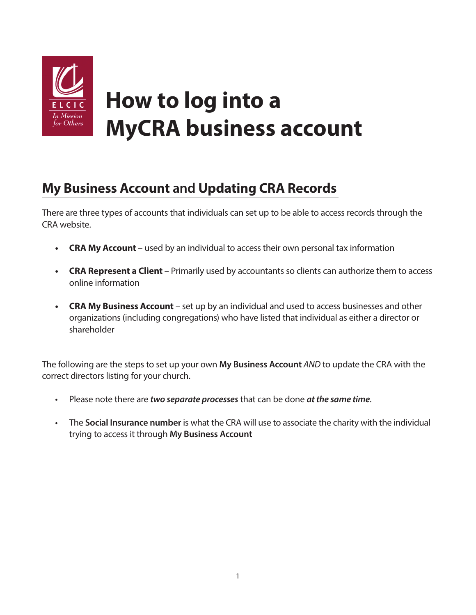

# **My Business Account and Updating CRA Records**

There are three types of accounts that individuals can set up to be able to access records through the CRA website.

- **CRA My Account** used by an individual to access their own personal tax information
- **• CRA Represent a Client**  Primarily used by accountants so clients can authorize them to access online information
- **• CRA My Business Account** set up by an individual and used to access businesses and other organizations (including congregations) who have listed that individual as either a director or shareholder

The following are the steps to set up your own **My Business Account** *AND* to update the CRA with the correct directors listing for your church.

- Please note there are *two separate processes* that can be done *at the same time*.
- The **Social Insurance number** is what the CRA will use to associate the charity with the individual trying to access it through **My Business Account**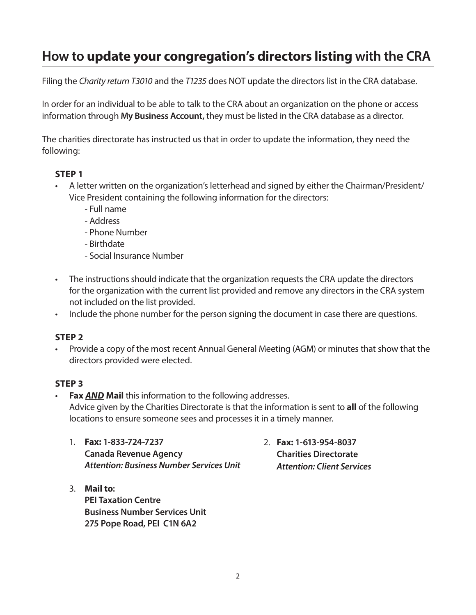## **How to update your congregation's directors listing with the CRA**

Filing the *Charity return T3010* and the *T1235* does NOT update the directors list in the CRA database.

In order for an individual to be able to talk to the CRA about an organization on the phone or access information through **My Business Account,** they must be listed in the CRA database as a director.

The charities directorate has instructed us that in order to update the information, they need the following:

### **STEP 1**

- A letter written on the organization's letterhead and signed by either the Chairman/President/ Vice President containing the following information for the directors:
	- Full name
	- Address
	- Phone Number
	- Birthdate
	- Social Insurance Number
- The instructions should indicate that the organization requests the CRA update the directors for the organization with the current list provided and remove any directors in the CRA system not included on the list provided.
- Include the phone number for the person signing the document in case there are questions.

#### **STEP 2**

• Provide a copy of the most recent Annual General Meeting (AGM) or minutes that show that the directors provided were elected.

#### **STEP 3**

• **Fax** *AND* **Mail** this information to the following addresses. Advice given by the Charities Directorate is that the information is sent to **all** of the following locations to ensure someone sees and processes it in a timely manner.

 1. **Fax: 1-833-724-7237 Canada Revenue Agency**  *Attention: Business Number Services Unit*

- 3. **Mail to: PEI Taxation Centre Business Number Services Unit 275 Pope Road, PEI C1N 6A2**
- 2. **Fax: 1-613-954-8037 Charities Directorate** *Attention: Client Services*